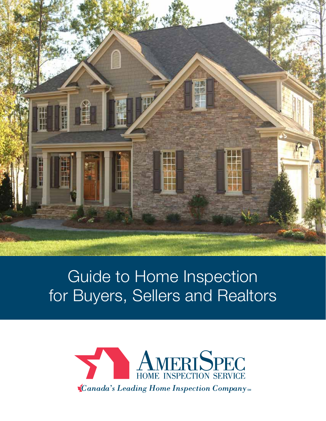

## Guide to Home Inspection for Buyers, Sellers and Realtors

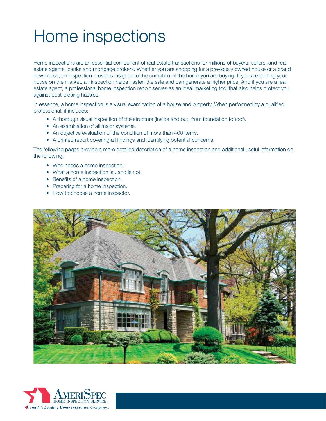# Home inspections

Home inspections are an essential component of real estate transactions for millions of buyers, sellers, and real estate agents, banks and mortgage brokers. Whether you are shopping for a previously owned house or a brand new house, an inspection provides insight into the condition of the home you are buying. If you are putting your house on the market, an inspection helps hasten the sale and can generate a higher price. And if you are a real estate agent, a professional home inspection report serves as an ideal marketing tool that also helps protect you against post-closing hassles.

In essence, a home inspection is a visual examination of a house and property. When performed by a qualified professional, it includes:

- A thorough visual inspection of the structure (inside and out, from foundation to roof).
- An examination of all major systems.
- An objective evaluation of the condition of more than 400 items.
- A printed report covering all findings and identifying potential concerns.

The following pages provide a more detailed description of a home inspection and additional useful information on the following:

- Who needs a home inspection.
- What a home inspection is...and is not.
- Benefits of a home inspection.
- Preparing for a home inspection.
- How to choose a home inspector.



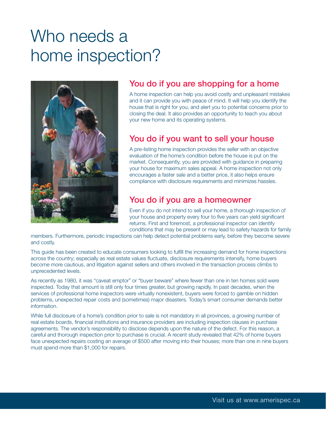## Who needs a home inspection?



### You do if you are shopping for a home

A home inspection can help you avoid costly and unpleasant mistakes and it can provide you with peace of mind. It will help you identify the house that is right for you, and alert you to potential concerns prior to closing the deal. It also provides an opportunity to teach you about your new home and its operating systems.

#### You do if you want to sell your house

A pre-listing home inspection provides the seller with an objective evaluation of the home's condition before the house is put on the market. Consequently, you are provided with guidance in preparing your house for maximum sales appeal. A home inspection not only encourages a faster sale and a better price, it also helps ensure compliance with disclosure requirements and minimizes hassles.

#### You do if you are a homeowner

Even if you do not intend to sell your home, a thorough inspection of your house and property every four to five years can yield significant returns. First and foremost, a professional inspector can identify conditions that may be present or may lead to safety hazards for family

members. Furthermore, periodic inspections can help detect potential problems early, before they become severe and costly.

This guide has been created to educate consumers looking to fulfill the increasing demand for home inspections across the country; especially as real estate values fluctuate, disclosure requirements intensify, home buyers become more cautious, and litigation against sellers and others involved in the transaction process climbs to unprecedented levels.

As recently as 1980, it was "caveat emptor" or "buyer beware" where fewer than one in ten homes sold were inspected. Today that amount is still only four times greater, but growing rapidly. In past decades, when the services of professional home inspectors were virtually nonexistent, buyers were forced to gamble on hidden problems, unexpected repair costs and (sometimes) major disasters. Today's smart consumer demands better information.

While full disclosure of a home's condition prior to sale is not mandatory in all provinces, a growing number of real estate boards, financial institutions and insurance providers are including inspection clauses in purchase agreements. The vendor's responsibility to disclose depends upon the nature of the defect. For this reason, a careful and thorough inspection prior to purchase is crucial. A recent study revealed that 42% of home buyers face unexpected repairs costing an average of \$500 after moving into their houses; more than one in nine buyers must spend more than \$1,000 for repairs.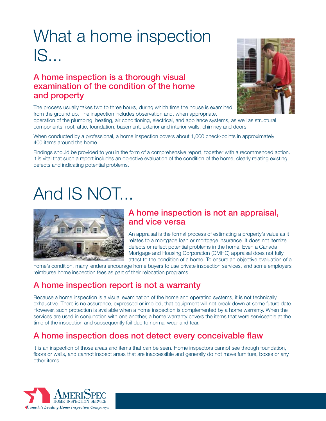# What a home inspection IS...

#### A home inspection is a thorough visual examination of the condition of the home and property

The process usually takes two to three hours, during which time the house is examined from the ground up. The inspection includes observation and, when appropriate,



operation of the plumbing, heating, air conditioning, electrical, and appliance systems, as well as structural components: roof, attic, foundation, basement, exterior and interior walls, chimney and doors.

When conducted by a professional, a home inspection covers about 1,000 check-points in approximately 400 items around the home.

Findings should be provided to you in the form of a comprehensive report, together with a recommended action. It is vital that such a report includes an objective evaluation of the condition of the home, clearly relating existing defects and indicating potential problems.

# And IS NOT...



#### A home inspection is not an appraisal, and vice versa

An appraisal is the formal process of estimating a property's value as it relates to a mortgage loan or mortgage insurance. It does not itemize defects or reflect potential problems in the home. Even a Canada Mortgage and Housing Corporation (CMHC) appraisal does not fully attest to the condition of a home. To ensure an objective evaluation of a

home's condition, many lenders encourage home buyers to use private inspection services, and some employers reimburse home inspection fees as part of their relocation programs.

### A home inspection report is not a warranty

Because a home inspection is a visual examination of the home and operating systems, it is not technically exhaustive. There is no assurance, expressed or implied, that equipment will not break down at some future date. However, such protection is available when a home inspection is complemented by a home warranty. When the services are used in conjunction with one another, a home warranty covers the items that were serviceable at the time of the inspection and subsequently fail due to normal wear and tear.

### A home inspection does not detect every conceivable flaw

It is an inspection of those areas and items that can be seen. Home inspectors cannot see through foundation, floors or walls, and cannot inspect areas that are inaccessible and generally do not move furniture, boxes or any other items.

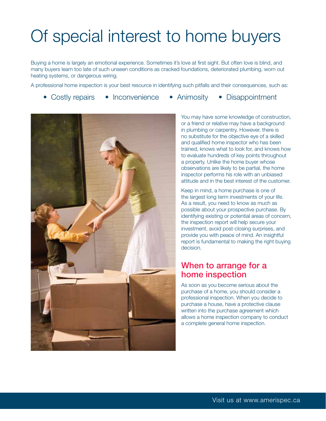# Of special interest to home buyers

Buying a home is largely an emotional experience. Sometimes it's love at first sight. But often love is blind, and many buyers learn too late of such unseen conditions as cracked foundations, deteriorated plumbing, worn out heating systems, or dangerous wiring.

A professional home inspection is your best resource in identifying such pitfalls and their consequences, such as:

- Costly repairs Inconvenience Animosity Disappointment
- 



You may have some knowledge of construction, or a friend or relative may have a background in plumbing or carpentry. However, there is no substitute for the objective eye of a skilled and qualified home inspector who has been trained, knows what to look for, and knows how to evaluate hundreds of key points throughout a property. Unlike the home buyer whose observations are likely to be partial, the home inspector performs his role with an unbiased attitude and in the best interest of the customer.

Keep in mind, a home purchase is one of the largest long term investments of your life. As a result, you need to know as much as possible about your prospective purchase. By identifying existing or potential areas of concern, the inspection report will help secure your investment, avoid post-closing surprises, and provide you with peace of mind. An insightful report is fundamental to making the right buying decision.

#### When to arrange for a home inspection

As soon as you become serious about the purchase of a home, you should consider a professional inspection. When you decide to purchase a house, have a protective clause written into the purchase agreement which allows a home inspection company to conduct a complete general home inspection.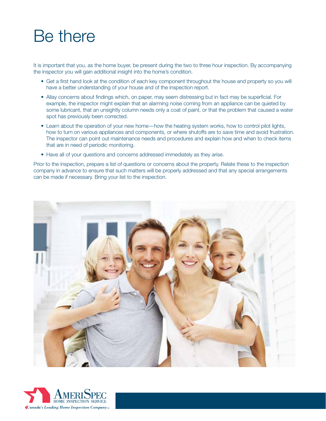## Be there

It is important that you, as the home buyer, be present during the two to three hour inspection. By accompanying the inspector you will gain additional insight into the home's condition.

- Get a first hand look at the condition of each key component throughout the house and property so you will have a better understanding of your house and of the inspection report.
- Allay concerns about findings which, on paper, may seem distressing but in fact may be superficial. For example, the inspector might explain that an alarming noise coming from an appliance can be quieted by some lubricant, that an unsightly column needs only a coat of paint, or that the problem that caused a water spot has previously been corrected.
- Learn about the operation of your new home—how the heating system works, how to control pilot lights, how to turn on various appliances and components, or where shutoffs are to save time and avoid frustration. The inspector can point out maintenance needs and procedures and explain how and when to check items that are in need of periodic monitoring.
- Have all of your questions and concerns addressed immediately as they arise.

Prior to the inspection, prepare a list of questions or concerns about the property. Relate these to the inspection company in advance to ensure that such matters will be properly addressed and that any special arrangements can be made if necessary. Bring your list to the inspection.



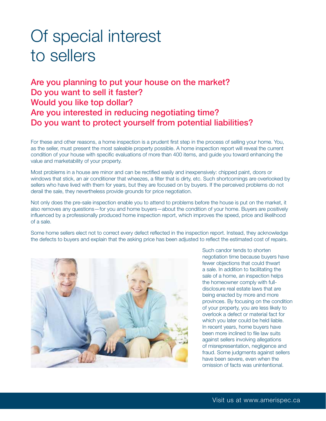## Of special interest to sellers

### Are you planning to put your house on the market? Do you want to sell it faster? Would you like top dollar? Are you interested in reducing negotiating time? Do you want to protect yourself from potential liabilities?

For these and other reasons, a home inspection is a prudent first step in the process of selling your home. You, as the seller, must present the most saleable property possible. A home inspection report will reveal the current condition of your house with specific evaluations of more than 400 items, and guide you toward enhancing the value and marketability of your property.

Most problems in a house are minor and can be rectified easily and inexpensively: chipped paint, doors or windows that stick, an air conditioner that wheezes, a filter that is dirty, etc. Such shortcomings are overlooked by sellers who have lived with them for years, but they are focused on by buyers. If the perceived problems do not derail the sale, they nevertheless provide grounds for price negotiation.

Not only does the pre-sale inspection enable you to attend to problems before the house is put on the market, it also removes any questions—for you and home buyers—about the condition of your home. Buyers are positively influenced by a professionally produced home inspection report, which improves the speed, price and likelihood of a sale.

Some home sellers elect not to correct every defect reflected in the inspection report. Instead, they acknowledge the defects to buyers and explain that the asking price has been adjusted to reflect the estimated cost of repairs.



Such candor tends to shorten negotiation time because buyers have fewer objections that could thwart a sale. In addition to facilitating the sale of a home, an inspection helps the homeowner comply with fulldisclosure real estate laws that are being enacted by more and more provinces. By focusing on the condition of your property, you are less likely to overlook a defect or material fact for which you later could be held liable. In recent years, home buyers have been more inclined to file law suits against sellers involving allegations of misrepresentation, negligence and fraud. Some judgments against sellers have been severe, even when the omission of facts was unintentional.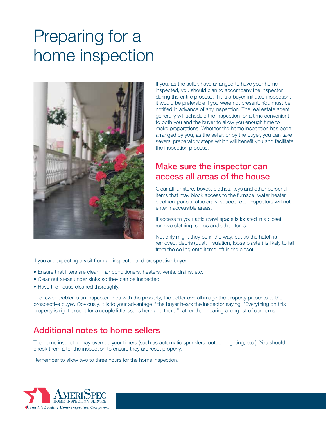# Preparing for a home inspection



If you, as the seller, have arranged to have your home inspected, you should plan to accompany the inspector during the entire process. If it is a buyer-initiated inspection, it would be preferable if you were not present. You must be notified in advance of any inspection. The real estate agent generally will schedule the inspection for a time convenient to both you and the buyer to allow you enough time to make preparations. Whether the home inspection has been arranged by you, as the seller, or by the buyer, you can take several preparatory steps which will benefit you and facilitate the inspection process.

#### Make sure the inspector can access all areas of the house

Clear all furniture, boxes, clothes, toys and other personal items that may block access to the furnace, water heater, electrical panels, attic crawl spaces, etc. Inspectors will not enter inaccessible areas.

If access to your attic crawl space is located in a closet, remove clothing, shoes and other items.

Not only might they be in the way, but as the hatch is removed, debris (dust, insulation, loose plaster) is likely to fall from the ceiling onto items left in the closet.

If you are expecting a visit from an inspector and prospective buyer:

- Ensure that filters are clear in air conditioners, heaters, vents, drains, etc.
- Clear out areas under sinks so they can be inspected.
- Have the house cleaned thoroughly.

The fewer problems an inspector finds with the property, the better overall image the property presents to the prospective buyer. Obviously, it is to your advantage if the buyer hears the inspector saying, "Everything on this property is right except for a couple little issues here and there," rather than hearing a long list of concerns.

#### Additional notes to home sellers

The home inspector may override your timers (such as automatic sprinklers, outdoor lighting, etc.). You should check them after the inspection to ensure they are reset properly.

Remember to allow two to three hours for the home inspection.

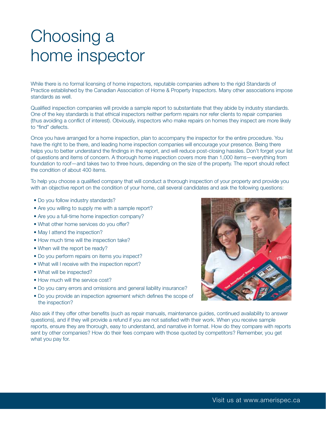## Choosing a home inspector

While there is no formal licensing of home inspectors, reputable companies adhere to the rigid Standards of Practice established by the Canadian Association of Home & Property Inspectors. Many other associations impose standards as well.

Qualified inspection companies will provide a sample report to substantiate that they abide by industry standards. One of the key standards is that ethical inspectors neither perform repairs nor refer clients to repair companies (thus avoiding a conflict of interest). Obviously, inspectors who make repairs on homes they inspect are more likely to "find" defects.

Once you have arranged for a home inspection, plan to accompany the inspector for the entire procedure. You have the right to be there, and leading home inspection companies will encourage your presence. Being there helps you to better understand the findings in the report, and will reduce post-closing hassles. Don't forget your list of questions and items of concern. A thorough home inspection covers more than 1,000 items—everything from foundation to roof—and takes two to three hours, depending on the size of the property. The report should reflect the condition of about 400 items.

To help you choose a qualified company that will conduct a thorough inspection of your property and provide you with an objective report on the condition of your home, call several candidates and ask the following questions:

- Do you follow industry standards?
- Are you willing to supply me with a sample report?
- Are you a full-time home inspection company?
- What other home services do you offer?
- May I attend the inspection?
- How much time will the inspection take?
- When will the report be ready?
- Do you perform repairs on items you inspect?
- What will I receive with the inspection report?
- What will be inspected?
- How much will the service cost?
- Do you carry errors and omissions and general liability insurance?
- Do you provide an inspection agreement which defines the scope of the inspection?

Also ask if they offer other benefits (such as repair manuals, maintenance guides, continued availability to answer questions), and if they will provide a refund if you are not satisfied with their work. When you receive sample reports, ensure they are thorough, easy to understand, and narrative in format. How do they compare with reports sent by other companies? How do their fees compare with those quoted by competitors? Remember, you get what you pay for.

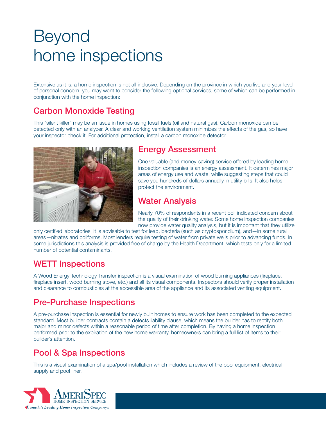## Beyond home inspections

Extensive as it is, a home inspection is not all inclusive. Depending on the province in which you live and your level of personal concern, you may want to consider the following optional services, some of which can be performed in conjunction with the home inspection:

### Carbon Monoxide Testing

This "silent killer" may be an issue in homes using fossil fuels (oil and natural gas). Carbon monoxide can be detected only with an analyzer. A clear and working ventilation system minimizes the effects of the gas, so have your inspector check it. For additional protection, install a carbon monoxide detector.



#### Energy Assessment

One valuable (and money-saving) service offered by leading home inspection companies is an energy assessment. It determines major areas of energy use and waste, while suggesting steps that could save you hundreds of dollars annually in utility bills. It also helps protect the environment.

#### Water Analysis

Nearly 70% of respondents in a recent poll indicated concern about the quality of their drinking water. Some home inspection companies now provide water quality analysis, but it is important that they utilize

only certified laboratories. It is advisable to test for lead, bacteria (such as cryptosporidium), and—in some rural areas—nitrates and coliforms. Most lenders require testing of water from private wells prior to advancing funds. In some jurisdictions this analysis is provided free of charge by the Health Department, which tests only for a limited number of potential contaminants.

### WETT Inspections

A Wood Energy Technology Transfer inspection is a visual examination of wood burning appliances (fireplace, fireplace insert, wood burning stove, etc.) and all its visual components. Inspectors should verify proper installation and clearance to combustibles at the accessible area of the appliance and its associated venting equipment.

### Pre-Purchase Inspections

A pre-purchase inspection is essential for newly built homes to ensure work has been completed to the expected standard. Most builder contracts contain a defects liability clause, which means the builder has to rectify both major and minor defects within a reasonable period of time after completion. By having a home inspection performed prior to the expiration of the new home warranty, homeowners can bring a full list of items to their builder's attention.

### Pool & Spa Inspections

This is a visual examination of a spa/pool installation which includes a review of the pool equipment, electrical supply and pool liner.

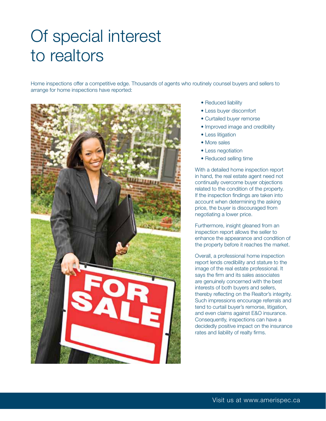## Of special interest to realtors

Home inspections offer a competitive edge. Thousands of agents who routinely counsel buyers and sellers to arrange for home inspections have reported:



- Reduced liability
- Less buyer discomfort
- Curtailed buyer remorse
- Improved image and credibility
- Less litigation
- More sales
- Less negotiation
- Reduced selling time

With a detailed home inspection report in hand, the real estate agent need not continually overcome buyer objections related to the condition of the property. If the inspection findings are taken into account when determining the asking price, the buyer is discouraged from negotiating a lower price.

Furthermore, insight gleaned from an inspection report allows the seller to enhance the appearance and condition of the property before it reaches the market.

Overall, a professional home inspection report lends credibility and stature to the image of the real estate professional. It says the firm and its sales associates are genuinely concerned with the best interests of both buyers and sellers, thereby reflecting on the Realtor's integrity. Such impressions encourage referrals and tend to curtail buyer's remorse, litigation, and even claims against E&O insurance. Consequently, inspections can have a decidedly positive impact on the insurance rates and liability of realty firms.